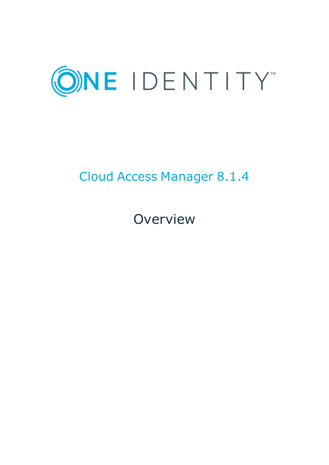

# Cloud Access Manager 8.1.4

**Overview**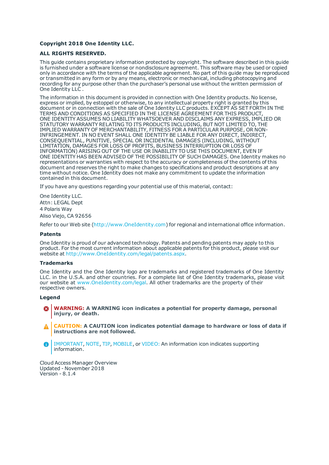#### **Copyright 2018 One Identity LLC.**

#### **ALL RIGHTS RESERVED.**

This guide contains proprietary information protected by copyright. The software described in this guide is furnished under a software license or nondisclosure agreement. This software may be used or copied only in accordance with the terms of the applicable agreement. No part of this guide may be reproduced or transmitted in any form or by any means, electronic or mechanical, including photocopying and recording for any purpose other than the purchaser's personal use without the written permission of One Identity LLC .

The information in this document is provided in connection with One Identity products. No license, express or implied, by estoppel or otherwise, to any intellectual property right is granted by this document or in connection with the sale of One Identity LLC products. EXCEPT AS SET FORTH IN THE TERMS AND CONDITIONS AS SPECIFIED IN THE LICENSE AGREEMENT FOR THIS PRODUCT, ONE IDENTITY ASSUMES NO LIABILITY WHATSOEVER AND DISCLAIMS ANY EXPRESS, IMPLIED OR STATUTORY WARRANTY RELATING TO ITS PRODUCTS INCLUDING, BUT NOT LIMITED TO, THE IMPLIED WARRANTY OF MERCHANTABILITY, FITNESS FOR A PARTICULAR PURPOSE, OR NON-INFRINGEMENT. IN NO EVENT SHALL ONE IDENTITY BE LIABLE FOR ANY DIRECT, INDIRECT, CONSEQUENTIAL, PUNITIVE, SPECIAL OR INCIDENTAL DAMAGES (INCLUDING, WITHOUT LIMITATION, DAMAGES FOR LOSS OF PROFITS, BUSINESS INTERRUPTION OR LOSS OF INFORMATION) ARISING OUT OF THE USE OR INABILITY TO USE THIS DOCUMENT, EVEN IF ONE IDENTITY HAS BEEN ADVISED OF THE POSSIBILITY OF SUCH DAMAGES. One Identity makes no representations or warranties with respect to the accuracy or completeness of the contents of this document and reserves the right to make changes to specifications and product descriptions at any time without notice. One Identity does not make any commitment to update the information contained in this document.

If you have any questions regarding your potential use of this material, contact:

One Identity LLC. Attn: LEGAL Dept 4 Polaris Way Aliso Viejo, CA 92656

Refer to our Web site ([http://www.OneIdentity.com](http://www.oneidentity.com/)) for regional and international office information.

#### **Patents**

One Identity is proud of our advanced technology. Patents and pending patents may apply to this product. For the most current information about applicable patents for this product, please visit our website at [http://www.OneIdentity.com/legal/patents.aspx](http://www.oneidentity.com/legal/patents.aspx).

#### **Trademarks**

One Identity and the One Identity logo are trademarks and registered trademarks of One Identity LLC. in the U.S.A. and other countries. For a complete list of One Identity trademarks, please visit our website at [www.OneIdentity.com/legal](http://www.oneidentity.com/legal). All other trademarks are the property of their respective owners.

#### **Legend**

- **WARNING: A WARNING icon indicates a potential for property damage, personal injury, or death.**
- **CAUTION: A CAUTION icon indicates potential damage to hardware or loss of data if instructions are not followed.**
- IMPORTANT, NOTE, TIP, MOBILE, or VIDEO: An information icon indicates supporting Œ information.

Cloud Access Manager Overview Updated - November 2018 Version - 8.1.4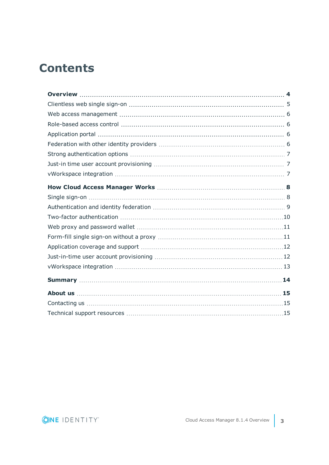# **Contents**

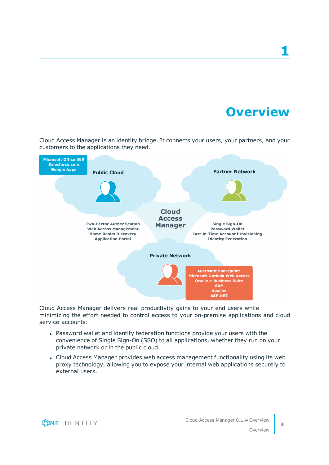**Overview**

**1**

<span id="page-3-0"></span>Cloud Access Manager is an identity bridge. It connects your users, your partners, and your customers to the applications they need.



Cloud Access Manager delivers real productivity gains to your end users while minimizing the effort needed to control access to your on-premise applications and cloud service accounts:

- Password wallet and identity federation functions provide your users with the convenience of Single Sign-On (SSO) to all applications, whether they run on your private network or in the public cloud.
- Cloud Access Manager provides web access management functionality using its web proxy technology, allowing you to expose your internal web applications securely to external users.

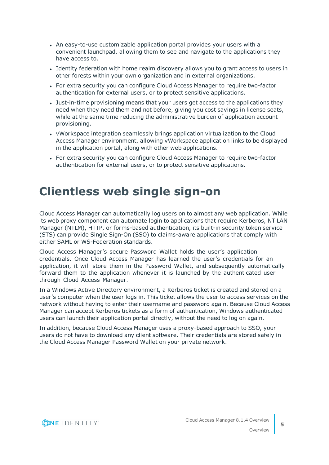- An easy-to-use customizable application portal provides your users with a convenient launchpad, allowing them to see and navigate to the applications they have access to.
- Identity federation with home realm discovery allows you to grant access to users in other forests within your own organization and in external organizations.
- For extra security you can configure Cloud Access Manager to require two-factor authentication for external users, or to protect sensitive applications.
- Just-in-time provisioning means that your users get access to the applications they need when they need them and not before, giving you cost savings in license seats, while at the same time reducing the administrative burden of application account provisioning.
- vWorkspace integration seamlessly brings application virtualization to the Cloud Access Manager environment, allowing vWorkspace application links to be displayed in the application portal, along with other web applications.
- For extra security you can configure Cloud Access Manager to require two-factor authentication for external users, or to protect sensitive applications.

### <span id="page-4-0"></span>**Clientless web single sign-on**

Cloud Access Manager can automatically log users on to almost any web application. While its web proxy component can automate login to applications that require Kerberos, NT LAN Manager (NTLM), HTTP, or forms-based authentication, its built-in security token service (STS) can provide Single Sign-On (SSO) to claims-aware applications that comply with either SAML or WS-Federation standards.

Cloud Access Manager's secure Password Wallet holds the user's application credentials. Once Cloud Access Manager has learned the user's credentials for an application, it will store them in the Password Wallet, and subsequently automatically forward them to the application whenever it is launched by the authenticated user through Cloud Access Manager.

In a Windows Active Directory environment, a Kerberos ticket is created and stored on a user's computer when the user logs in. This ticket allows the user to access services on the network without having to enter their username and password again. Because Cloud Access Manager can accept Kerberos tickets as a form of authentication, Windows authenticated users can launch their application portal directly, without the need to log on again.

In addition, because Cloud Access Manager uses a proxy-based approach to SSO, your users do not have to download any client software. Their credentials are stored safely in the Cloud Access Manager Password Wallet on your private network.

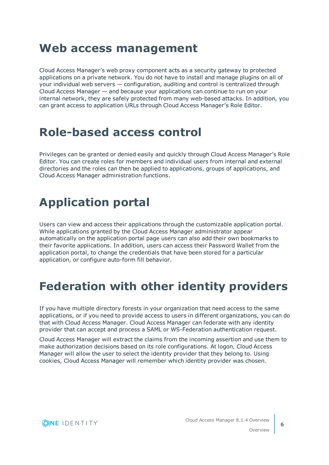### <span id="page-5-0"></span>**Web access management**

Cloud Access Manager's web proxy component acts as a security gateway to protected applications on a private network. You do not have to install and manage plugins on all of your individual web servers — configuration, auditing and control is centralized through Cloud Access Manager — and because your applications can continue to run on your internal network, they are safely protected from many web-based attacks. In addition, you can grant access to application URLs through Cloud Access Manager's Role Editor.

### <span id="page-5-1"></span>**Role-based access control**

Privileges can be granted or denied easily and quickly through Cloud Access Manager's Role Editor. You can create roles for members and individual users from internal and external directories and the roles can then be applied to applications, groups of applications, and Cloud Access Manager administration functions.

# <span id="page-5-2"></span>**Application portal**

Users can view and access their applications through the customizable application portal. While applications granted by the Cloud Access Manager administrator appear automatically on the application portal page users can also add their own bookmarks to their favorite applications. In addition, users can access their Password Wallet from the application portal, to change the credentials that have been stored for a particular application, or configure auto-form fill behavior.

# <span id="page-5-3"></span>**Federation with other identity providers**

If you have multiple directory forests in your organization that need access to the same applications, or if you need to provide access to users in different organizations, you can do that with Cloud Access Manager. Cloud Access Manager can federate with any identity provider that can accept and process a SAML or WS-Federation authentication request.

Cloud Access Manager will extract the claims from the incoming assertion and use them to make authorization decisions based on its role configurations. At logon, Cloud Access Manager will allow the user to select the identity provider that they belong to. Using cookies, Cloud Access Manager will remember which identity provider was chosen.

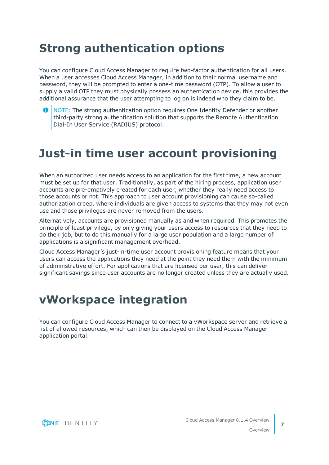# <span id="page-6-0"></span>**Strong authentication options**

You can configure Cloud Access Manager to require two-factor authentication for all users. When a user accesses Cloud Access Manager, in addition to their normal username and password, they will be prompted to enter a one-time password (OTP). To allow a user to supply a valid OTP they must physically possess an authentication device, this provides the additional assurance that the user attempting to log on is indeed who they claim to be.



## <span id="page-6-1"></span>**Just-in time user account provisioning**

When an authorized user needs access to an application for the first time, a new account must be set up for that user. Traditionally, as part of the hiring process, application user accounts are pre-emptively created for each user, whether they really need access to those accounts or not. This approach to user account provisioning can cause so-called authorization creep, where individuals are given access to systems that they may not even use and those privileges are never removed from the users.

Alternatively, accounts are provisioned manually as and when required. This promotes the principle of least privilege, by only giving your users access to resources that they need to do their job, but to do this manually for a large user population and a large number of applications is a significant management overhead.

Cloud Access Manager's just-in-time user account provisioning feature means that your users can access the applications they need at the point they need them with the minimum of administrative effort. For applications that are licensed per user, this can deliver significant savings since user accounts are no longer created unless they are actually used.

### <span id="page-6-2"></span>**vWorkspace integration**

You can configure Cloud Access Manager to connect to a vWorkspace server and retrieve a list of allowed resources, which can then be displayed on the Cloud Access Manager application portal.

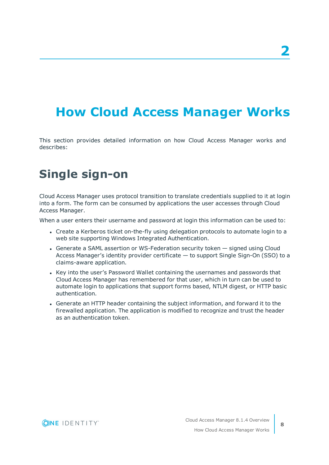# <span id="page-7-0"></span>**How Cloud Access Manager Works**

This section provides detailed information on how Cloud Access Manager works and describes:

# <span id="page-7-1"></span>**Single sign-on**

Cloud Access Manager uses protocol transition to translate credentials supplied to it at login into a form. The form can be consumed by applications the user accesses through Cloud Access Manager.

When a user enters their username and password at login this information can be used to:

- Create a Kerberos ticket on-the-fly using delegation protocols to automate login to a web site supporting Windows Integrated Authentication.
- Generate a SAML assertion or WS-Federation security token signed using Cloud Access Manager's identity provider certificate — to support Single Sign-On (SSO) to a claims-aware application.
- Key into the user's Password Wallet containing the usernames and passwords that Cloud Access Manager has remembered for that user, which in turn can be used to automate login to applications that support forms based, NTLM digest, or HTTP basic authentication.
- <sup>l</sup> Generate an HTTP header containing the subject information, and forward it to the firewalled application. The application is modified to recognize and trust the header as an authentication token.

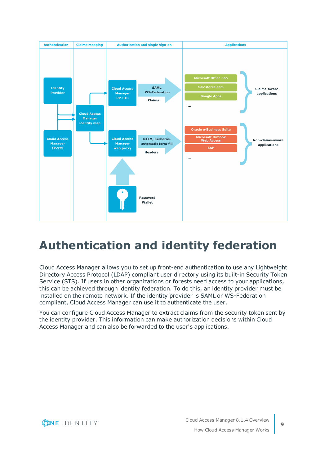

# <span id="page-8-0"></span>**Authentication and identity federation**

Cloud Access Manager allows you to set up front-end authentication to use any Lightweight Directory Access Protocol (LDAP) compliant user directory using its built-in Security Token Service (STS). If users in other organizations or forests need access to your applications, this can be achieved through identity federation. To do this, an identity provider must be installed on the remote network. If the identity provider is SAML or WS-Federation compliant, Cloud Access Manager can use it to authenticate the user.

You can configure Cloud Access Manager to extract claims from the security token sent by the identity provider. This information can make authorization decisions within Cloud Access Manager and can also be forwarded to the user's applications.

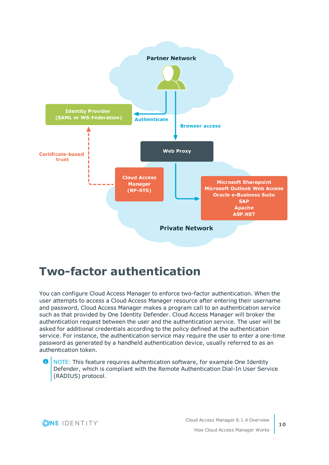

### <span id="page-9-0"></span>**Two-factor authentication**

You can configure Cloud Access Manager to enforce two-factor authentication. When the user attempts to access a Cloud Access Manager resource after entering their username and password, Cloud Access Manager makes a program call to an authentication service such as that provided by One Identity Defender. Cloud Access Manager will broker the authentication request between the user and the authentication service. The user will be asked for additional credentials according to the policy defined at the authentication service. For instance, the authentication service may require the user to enter a one-time password as generated by a handheld authentication device, usually referred to as an authentication token.

Œ NOTE: This feature requires authentication software, for example One Identity Defender, which is compliant with the Remote Authentication Dial-In User Service (RADIUS) protocol.

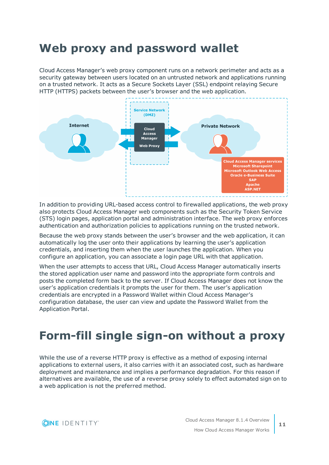# <span id="page-10-0"></span>**Web proxy and password wallet**

Cloud Access Manager's web proxy component runs on a network perimeter and acts as a security gateway between users located on an untrusted network and applications running on a trusted network. It acts as a Secure Sockets Layer (SSL) endpoint relaying Secure HTTP (HTTPS) packets between the user's browser and the web application.



In addition to providing URL-based access control to firewalled applications, the web proxy also protects Cloud Access Manager web components such as the Security Token Service (STS) login pages, application portal and administration interface. The web proxy enforces authentication and authorization policies to applications running on the trusted network.

Because the web proxy stands between the user's browser and the web application, it can automatically log the user onto their applications by learning the user's application credentials, and inserting them when the user launches the application. When you configure an application, you can associate a login page URL with that application.

When the user attempts to access that URL, Cloud Access Manager automatically inserts the stored application user name and password into the appropriate form controls and posts the completed form back to the server. If Cloud Access Manager does not know the user's application credentials it prompts the user for them. The user's application credentials are encrypted in a Password Wallet within Cloud Access Manager's configuration database, the user can view and update the Password Wallet from the Application Portal.

# <span id="page-10-1"></span>**Form-fill single sign-on without a proxy**

While the use of a reverse HTTP proxy is effective as a method of exposing internal applications to external users, it also carries with it an associated cost, such as hardware deployment and maintenance and implies a performance degradation. For this reason if alternatives are available, the use of a reverse proxy solely to effect automated sign on to a web application is not the preferred method.

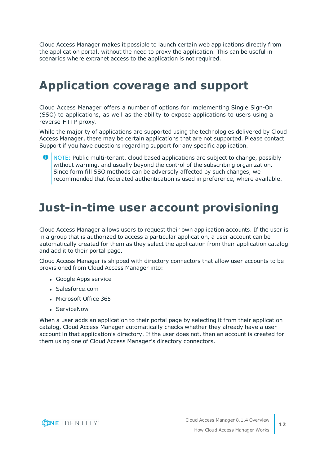Cloud Access Manager makes it possible to launch certain web applications directly from the application portal, without the need to proxy the application. This can be useful in scenarios where extranet access to the application is not required.

# <span id="page-11-0"></span>**Application coverage and support**

Cloud Access Manager offers a number of options for implementing Single Sign-On (SSO) to applications, as well as the ability to expose applications to users using a reverse HTTP proxy.

While the majority of applications are supported using the technologies delivered by Cloud Access Manager, there may be certain applications that are not supported. Please contact Support if you have questions regarding support for any specific application.

**O** NOTE: Public multi-tenant, cloud based applications are subject to change, possibly without warning, and usually beyond the control of the subscribing organization. Since form fill SSO methods can be adversely affected by such changes, we recommended that federated authentication is used in preference, where available.

### <span id="page-11-1"></span>**Just-in-time user account provisioning**

Cloud Access Manager allows users to request their own application accounts. If the user is in a group that is authorized to access a particular application, a user account can be automatically created for them as they select the application from their application catalog and add it to their portal page.

Cloud Access Manager is shipped with directory connectors that allow user accounts to be provisioned from Cloud Access Manager into:

- Google Apps service
- Salesforce.com
- Microsoft Office 365
- **ServiceNow**

When a user adds an application to their portal page by selecting it from their application catalog, Cloud Access Manager automatically checks whether they already have a user account in that application's directory. If the user does not, then an account is created for them using one of Cloud Access Manager's directory connectors.

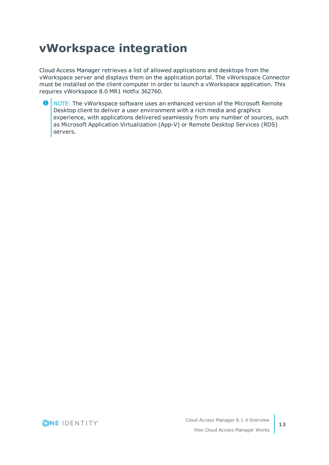# <span id="page-12-0"></span>**vWorkspace integration**

Cloud Access Manager retrieves a list of allowed applications and desktops from the vWorkspace server and displays them on the application portal. The vWorkspace Connector must be installed on the client computer in order to launch a vWorkspace application. This requires vWorkspace 8.0 MR1 Hotfix 362760.

6 NOTE: The vWorkspace software uses an enhanced version of the Microsoft Remote Desktop client to deliver a user environment with a rich media and graphics experience, with applications delivered seamlessly from any number of sources, such as Microsoft Application Virtualization (App-V) or Remote Desktop Services (RDS) servers.

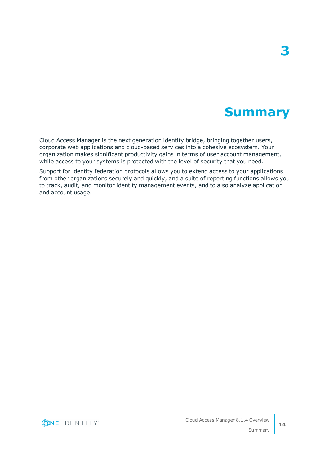## **Summary**

<span id="page-13-0"></span>Cloud Access Manager is the next generation identity bridge, bringing together users, corporate web applications and cloud-based services into a cohesive ecosystem. Your organization makes significant productivity gains in terms of user account management, while access to your systems is protected with the level of security that you need.

Support for identity federation protocols allows you to extend access to your applications from other organizations securely and quickly, and a suite of reporting functions allows you to track, audit, and monitor identity management events, and to also analyze application and account usage.